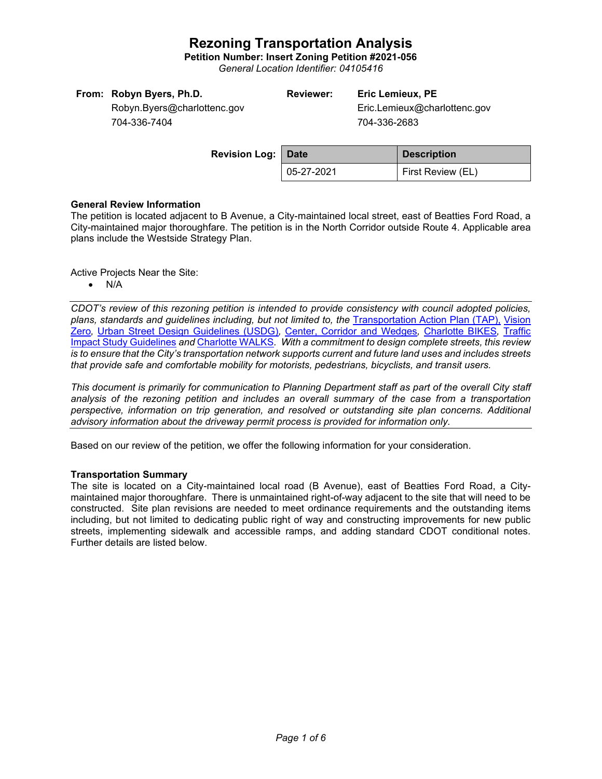**Petition Number: Insert Zoning Petition #2021-056**

*General Location Identifier: 04105416*

|  | From: Robyn Byers, Ph.D. |
|--|--------------------------|
|--|--------------------------|

**Reviewer: Eric Lemieux, PE**

Eric.Lemieux@charlottenc.gov 704-336-2683

Robyn.Byers@charlottenc.gov 704-336-7404

| <b>Revision Log: Date</b> |            | <b>Description</b> |  |
|---------------------------|------------|--------------------|--|
|                           | 05-27-2021 | First Review (EL)  |  |

#### **General Review Information**

The petition is located adjacent to B Avenue, a City-maintained local street, east of Beatties Ford Road, a City-maintained major thoroughfare. The petition is in the North Corridor outside Route 4. Applicable area plans include the Westside Strategy Plan.

Active Projects Near the Site:

• N/A

*CDOT's review of this rezoning petition is intended to provide consistency with council adopted policies, plans, standards and guidelines including, but not limited to, the* [Transportation Action Plan \(TAP\),](https://charlottenc.gov/Transportation/Programs/Pages/TransportationActionPlan.aspx) [Vision](https://charlottenc.gov/VisionZero/Pages/VisionZero.aspx)  [Zero](https://charlottenc.gov/VisionZero/Pages/VisionZero.aspx)*,* [Urban Street Design Guidelines \(USDG\)](https://charlottenc.gov/Transportation/PlansProjects/Documents/USDG%20Full%20Document.pdf)*,* [Center, Corridor and Wedges](http://ww.charmeck.org/Planning/Land%20Use%20Planning/CentersCorridorsWedges/CentersCorridorsWedges(Adopted).pdf)*,* [Charlotte BIKES](https://charlottenc.gov/Transportation/Programs/Pages/Bicycle.aspx)*,* [Traffic](https://charlottenc.gov/Transportation/Permits/Documents/TISProcessandGuildlines.pdf)  [Impact Study Guidelines](https://charlottenc.gov/Transportation/Permits/Documents/TISProcessandGuildlines.pdf) *and* [Charlotte WALKS](https://charlottenc.gov/Transportation/Programs/Pages/CharlotteWalks.aspx)*. With a commitment to design complete streets, this review is to ensure that the City's transportation network supports current and future land uses and includes streets that provide safe and comfortable mobility for motorists, pedestrians, bicyclists, and transit users.*

*This document is primarily for communication to Planning Department staff as part of the overall City staff analysis of the rezoning petition and includes an overall summary of the case from a transportation perspective, information on trip generation, and resolved or outstanding site plan concerns. Additional advisory information about the driveway permit process is provided for information only.*

Based on our review of the petition, we offer the following information for your consideration.

#### **Transportation Summary**

The site is located on a City-maintained local road (B Avenue), east of Beatties Ford Road, a Citymaintained major thoroughfare. There is unmaintained right-of-way adjacent to the site that will need to be constructed. Site plan revisions are needed to meet ordinance requirements and the outstanding items including, but not limited to dedicating public right of way and constructing improvements for new public streets, implementing sidewalk and accessible ramps, and adding standard CDOT conditional notes. Further details are listed below.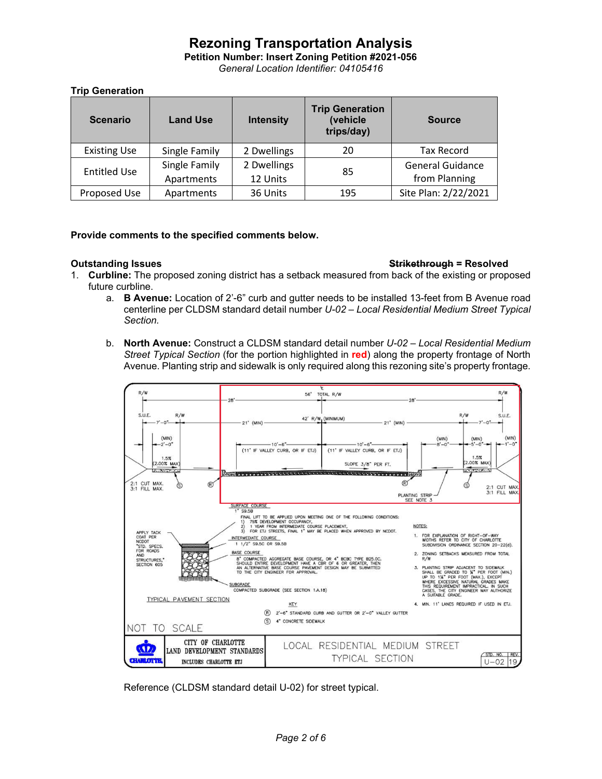**Petition Number: Insert Zoning Petition #2021-056**

*General Location Identifier: 04105416*

## **Trip Generation**

| <b>Scenario</b>     | <b>Land Use</b>             | <b>Intensity</b>        | <b>Trip Generation</b><br>(vehicle<br>trips/day) | <b>Source</b>                            |
|---------------------|-----------------------------|-------------------------|--------------------------------------------------|------------------------------------------|
| <b>Existing Use</b> | Single Family               | 2 Dwellings             | 20                                               | <b>Tax Record</b>                        |
| <b>Entitled Use</b> | Single Family<br>Apartments | 2 Dwellings<br>12 Units | 85                                               | <b>General Guidance</b><br>from Planning |
| Proposed Use        | Apartments                  | 36 Units                | 195                                              | Site Plan: 2/22/2021                     |

## **Provide comments to the specified comments below.**

#### **Outstanding Issues Strikethrough = Resolved**

- 1. **Curbline:** The proposed zoning district has a setback measured from back of the existing or proposed future curbline.
	- a. **B Avenue:** Location of 2'-6" curb and gutter needs to be installed 13-feet from B Avenue road centerline per CLDSM standard detail number *U-02 – Local Residential Medium Street Typical Section.*
	- b. **North Avenue:** Construct a CLDSM standard detail number *U-02 – Local Residential Medium Street Typical Section* (for the portion highlighted in **red**) along the property frontage of North Avenue. Planting strip and sidewalk is only required along this rezoning site's property frontage.



Reference (CLDSM standard detail U-02) for street typical.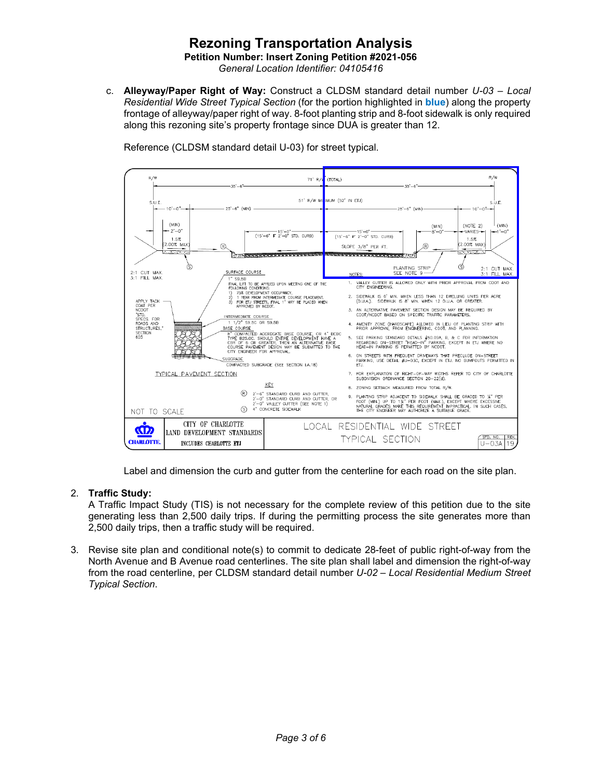**Petition Number: Insert Zoning Petition #2021-056**

*General Location Identifier: 04105416*

c. **Alleyway/Paper Right of Way:** Construct a CLDSM standard detail number *U-03 – Local Residential Wide Street Typical Section* (for the portion highlighted in **blue**) along the property frontage of alleyway/paper right of way. 8-foot planting strip and 8-foot sidewalk is only required along this rezoning site's property frontage since DUA is greater than 12.



Reference (CLDSM standard detail U-03) for street typical.

Label and dimension the curb and gutter from the centerline for each road on the site plan.

## 2. **Traffic Study:**

A Traffic Impact Study (TIS) is not necessary for the complete review of this petition due to the site generating less than 2,500 daily trips. If during the permitting process the site generates more than 2,500 daily trips, then a traffic study will be required.

3. Revise site plan and conditional note(s) to commit to dedicate 28-feet of public right-of-way from the North Avenue and B Avenue road centerlines. The site plan shall label and dimension the right-of-way from the road centerline, per CLDSM standard detail number *U-02 – Local Residential Medium Street Typical Section*.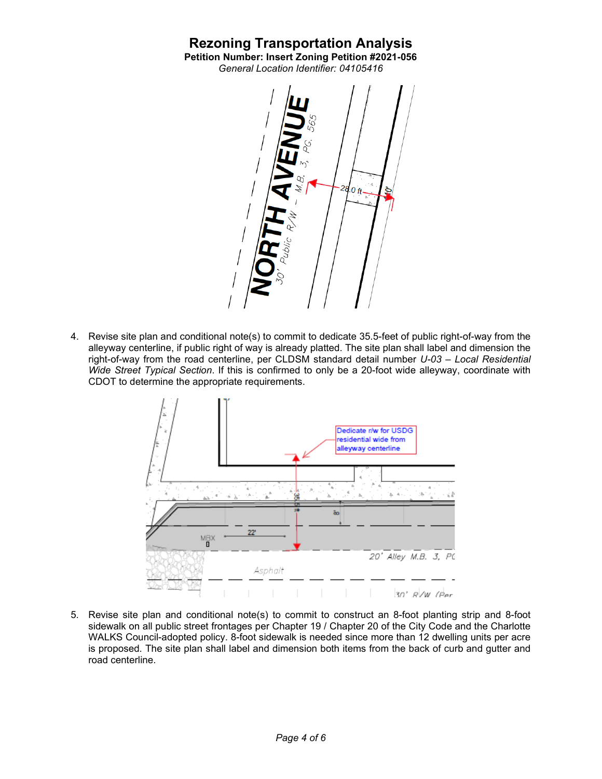# **Rezoning Transportation Analysis Petition Number: Insert Zoning Petition #2021-056**

*General Location Identifier: 04105416*



4. Revise site plan and conditional note(s) to commit to dedicate 35.5-feet of public right-of-way from the alleyway centerline, if public right of way is already platted. The site plan shall label and dimension the right-of-way from the road centerline, per CLDSM standard detail number *U-03 – Local Residential Wide Street Typical Section*. If this is confirmed to only be a 20-foot wide alleyway, coordinate with CDOT to determine the appropriate requirements.



5. Revise site plan and conditional note(s) to commit to construct an 8-foot planting strip and 8-foot sidewalk on all public street frontages per Chapter 19 / Chapter 20 of the City Code and the Charlotte WALKS Council-adopted policy. 8-foot sidewalk is needed since more than 12 dwelling units per acre is proposed. The site plan shall label and dimension both items from the back of curb and gutter and road centerline.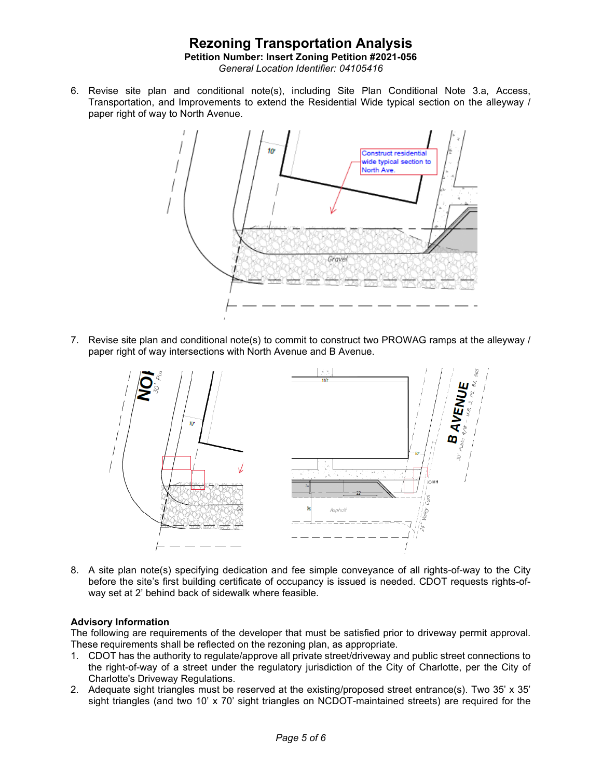## **Rezoning Transportation Analysis Petition Number: Insert Zoning Petition #2021-056** *General Location Identifier: 04105416*

6. Revise site plan and conditional note(s), including Site Plan Conditional Note 3.a, Access, Transportation, and Improvements to extend the Residential Wide typical section on the alleyway / paper right of way to North Avenue.



7. Revise site plan and conditional note(s) to commit to construct two PROWAG ramps at the alleyway / paper right of way intersections with North Avenue and B Avenue.



8. A site plan note(s) specifying dedication and fee simple conveyance of all rights-of-way to the City before the site's first building certificate of occupancy is issued is needed. CDOT requests rights-ofway set at 2' behind back of sidewalk where feasible.

#### **Advisory Information**

The following are requirements of the developer that must be satisfied prior to driveway permit approval. These requirements shall be reflected on the rezoning plan, as appropriate.

- 1. CDOT has the authority to regulate/approve all private street/driveway and public street connections to the right-of-way of a street under the regulatory jurisdiction of the City of Charlotte, per the City of Charlotte's Driveway Regulations.
- 2. Adequate sight triangles must be reserved at the existing/proposed street entrance(s). Two 35' x 35' sight triangles (and two 10' x 70' sight triangles on NCDOT-maintained streets) are required for the